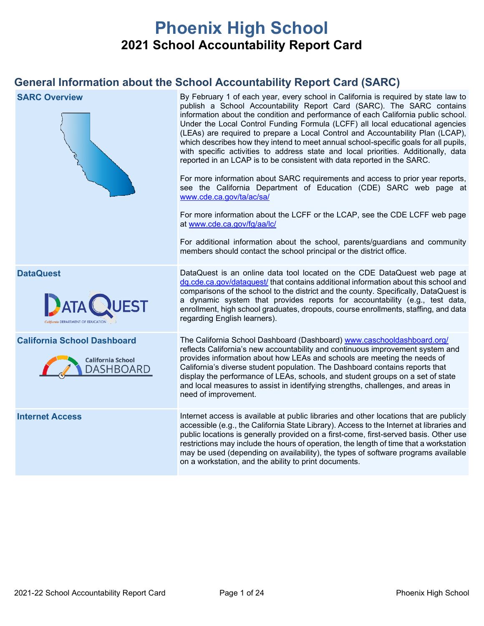# **Phoenix High School 2021 School Accountability Report Card**

## **General Information about the School Accountability Report Card (SARC)**

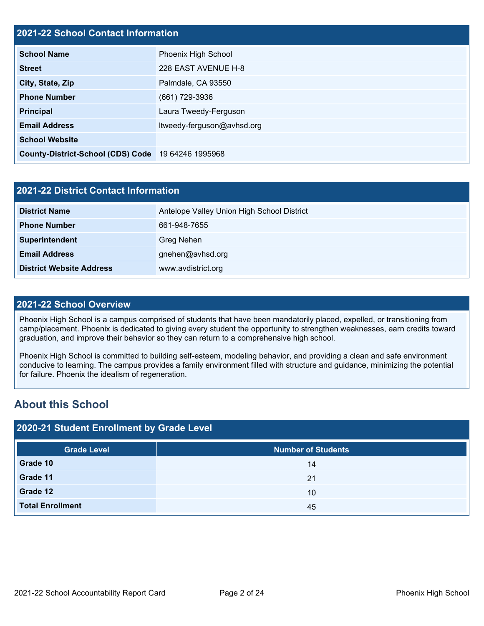## **2021-22 School Contact Information**

| EVET EE GUNGU GUNGUL INIGITIGGUN         |                            |  |  |
|------------------------------------------|----------------------------|--|--|
| <b>School Name</b>                       | Phoenix High School        |  |  |
| <b>Street</b>                            | 228 EAST AVENUE H-8        |  |  |
| City, State, Zip                         | Palmdale, CA 93550         |  |  |
| <b>Phone Number</b>                      | (661) 729-3936             |  |  |
| <b>Principal</b>                         | Laura Tweedy-Ferguson      |  |  |
| <b>Email Address</b>                     | ltweedy-ferguson@avhsd.org |  |  |
| <b>School Website</b>                    |                            |  |  |
| <b>County-District-School (CDS) Code</b> | 19 64246 1995968           |  |  |

| <b>2021-22 District Contact Information</b> |                                            |  |  |
|---------------------------------------------|--------------------------------------------|--|--|
| <b>District Name</b>                        | Antelope Valley Union High School District |  |  |
| <b>Phone Number</b>                         | 661-948-7655                               |  |  |
| Superintendent                              | Greg Nehen                                 |  |  |
| <b>Email Address</b>                        | gnehen@avhsd.org                           |  |  |
| <b>District Website Address</b>             | www.avdistrict.org                         |  |  |

### **2021-22 School Overview**

Phoenix High School is a campus comprised of students that have been mandatorily placed, expelled, or transitioning from camp/placement. Phoenix is dedicated to giving every student the opportunity to strengthen weaknesses, earn credits toward graduation, and improve their behavior so they can return to a comprehensive high school.

Phoenix High School is committed to building self-esteem, modeling behavior, and providing a clean and safe environment conducive to learning. The campus provides a family environment filled with structure and guidance, minimizing the potential for failure. Phoenix the idealism of regeneration.

## **About this School**

| 2020-21 Student Enrollment by Grade Level |                           |  |  |  |
|-------------------------------------------|---------------------------|--|--|--|
| <b>Grade Level</b>                        | <b>Number of Students</b> |  |  |  |
| Grade 10                                  | 14                        |  |  |  |
| Grade 11                                  | 21                        |  |  |  |
| Grade 12                                  | 10                        |  |  |  |
| <b>Total Enrollment</b>                   | 45                        |  |  |  |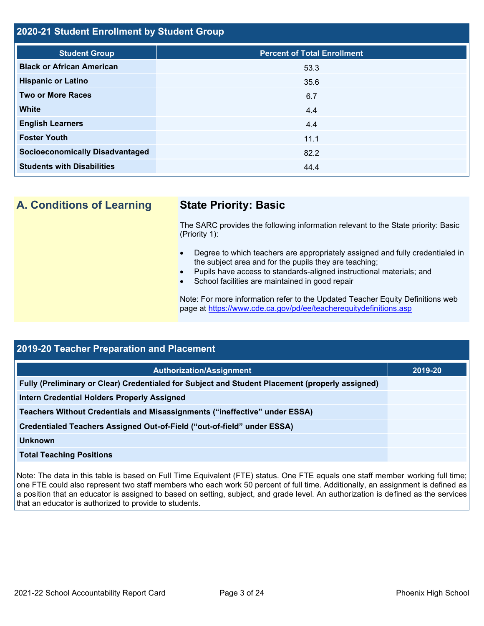### **2020-21 Student Enrollment by Student Group**

| <b>Student Group</b>                   | <b>Percent of Total Enrollment</b> |
|----------------------------------------|------------------------------------|
| <b>Black or African American</b>       | 53.3                               |
| <b>Hispanic or Latino</b>              | 35.6                               |
| <b>Two or More Races</b>               | 6.7                                |
| <b>White</b>                           | 4.4                                |
| <b>English Learners</b>                | 4.4                                |
| <b>Foster Youth</b>                    | 11.1                               |
| <b>Socioeconomically Disadvantaged</b> | 82.2                               |
| <b>Students with Disabilities</b>      | 44.4                               |

**A. Conditions of Learning State Priority: Basic**

The SARC provides the following information relevant to the State priority: Basic (Priority 1):

- Degree to which teachers are appropriately assigned and fully credentialed in the subject area and for the pupils they are teaching;
- Pupils have access to standards-aligned instructional materials; and
- School facilities are maintained in good repair

Note: For more information refer to the Updated Teacher Equity Definitions web page at<https://www.cde.ca.gov/pd/ee/teacherequitydefinitions.asp>

| <b>2019-20 Teacher Preparation and Placement</b>                                                |         |  |  |
|-------------------------------------------------------------------------------------------------|---------|--|--|
| <b>Authorization/Assignment</b>                                                                 | 2019-20 |  |  |
| Fully (Preliminary or Clear) Credentialed for Subject and Student Placement (properly assigned) |         |  |  |
| <b>Intern Credential Holders Properly Assigned</b>                                              |         |  |  |
| Teachers Without Credentials and Misassignments ("ineffective" under ESSA)                      |         |  |  |
| Credentialed Teachers Assigned Out-of-Field ("out-of-field" under ESSA)                         |         |  |  |
| <b>Unknown</b>                                                                                  |         |  |  |
| <b>Total Teaching Positions</b>                                                                 |         |  |  |

Note: The data in this table is based on Full Time Equivalent (FTE) status. One FTE equals one staff member working full time; one FTE could also represent two staff members who each work 50 percent of full time. Additionally, an assignment is defined as a position that an educator is assigned to based on setting, subject, and grade level. An authorization is defined as the services that an educator is authorized to provide to students.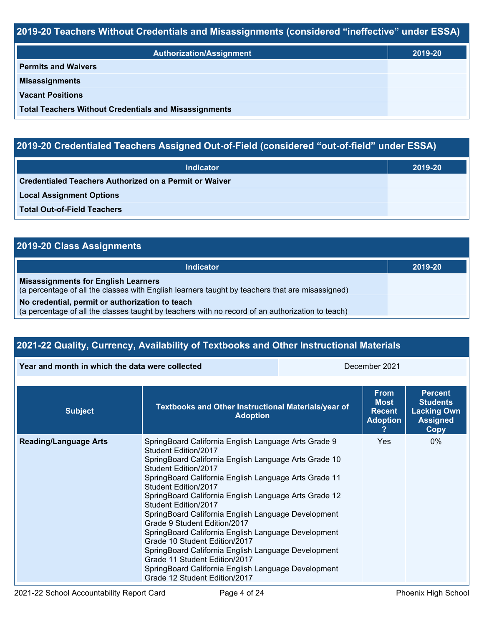## **2019-20 Teachers Without Credentials and Misassignments (considered "ineffective" under ESSA)**

| Authorization/Assignment                                     | 2019-20 |
|--------------------------------------------------------------|---------|
| <b>Permits and Waivers</b>                                   |         |
| <b>Misassignments</b>                                        |         |
| <b>Vacant Positions</b>                                      |         |
| <b>Total Teachers Without Credentials and Misassignments</b> |         |

## **2019-20 Credentialed Teachers Assigned Out-of-Field (considered "out-of-field" under ESSA)**

| <b>Indicator</b>                                       | 2019-20 |
|--------------------------------------------------------|---------|
| Credentialed Teachers Authorized on a Permit or Waiver |         |
| <b>Local Assignment Options</b>                        |         |
| <b>Total Out-of-Field Teachers</b>                     |         |

## **2019-20 Class Assignments**

| Indicator                                                                                                                                           | 2019-20 |
|-----------------------------------------------------------------------------------------------------------------------------------------------------|---------|
| <b>Misassignments for English Learners</b><br>(a percentage of all the classes with English learners taught by teachers that are misassigned)       |         |
| No credential, permit or authorization to teach<br>(a percentage of all the classes taught by teachers with no record of an authorization to teach) |         |

## **2021-22 Quality, Currency, Availability of Textbooks and Other Instructional Materials**

**Year and month in which the data were collected** December 2021

| <b>Subject</b>               | Textbooks and Other Instructional Materials/year of<br><b>Adoption</b>                                                                                                                                                                                                                                                                                                                                                                                                                                                                                                                                                                                                                         | <b>From</b><br><b>Most</b><br><b>Recent</b><br><b>Adoption</b> | <b>Percent</b><br><b>Students</b><br><b>Lacking Own</b><br><b>Assigned</b><br>Copy |
|------------------------------|------------------------------------------------------------------------------------------------------------------------------------------------------------------------------------------------------------------------------------------------------------------------------------------------------------------------------------------------------------------------------------------------------------------------------------------------------------------------------------------------------------------------------------------------------------------------------------------------------------------------------------------------------------------------------------------------|----------------------------------------------------------------|------------------------------------------------------------------------------------|
| <b>Reading/Language Arts</b> | SpringBoard California English Language Arts Grade 9<br>Student Edition/2017<br>SpringBoard California English Language Arts Grade 10<br>Student Edition/2017<br>SpringBoard California English Language Arts Grade 11<br>Student Edition/2017<br>SpringBoard California English Language Arts Grade 12<br>Student Edition/2017<br>SpringBoard California English Language Development<br>Grade 9 Student Edition/2017<br>SpringBoard California English Language Development<br>Grade 10 Student Edition/2017<br>SpringBoard California English Language Development<br>Grade 11 Student Edition/2017<br>SpringBoard California English Language Development<br>Grade 12 Student Edition/2017 | <b>Yes</b>                                                     | $0\%$                                                                              |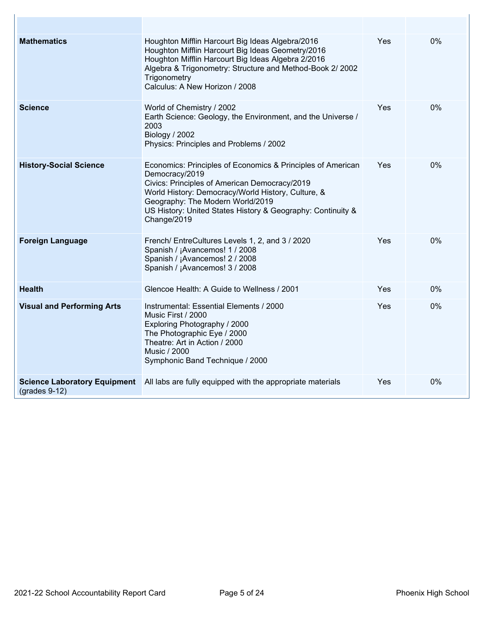| <b>Mathematics</b>                                     | Houghton Mifflin Harcourt Big Ideas Algebra/2016<br>Houghton Mifflin Harcourt Big Ideas Geometry/2016<br>Houghton Mifflin Harcourt Big Ideas Algebra 2/2016<br>Algebra & Trigonometry: Structure and Method-Book 2/ 2002<br>Trigonometry<br>Calculus: A New Horizon / 2008                             | Yes        | 0% |
|--------------------------------------------------------|--------------------------------------------------------------------------------------------------------------------------------------------------------------------------------------------------------------------------------------------------------------------------------------------------------|------------|----|
| <b>Science</b>                                         | World of Chemistry / 2002<br>Earth Science: Geology, the Environment, and the Universe /<br>2003<br>Biology / 2002<br>Physics: Principles and Problems / 2002                                                                                                                                          | Yes        | 0% |
| <b>History-Social Science</b>                          | Economics: Principles of Economics & Principles of American<br>Democracy/2019<br>Civics: Principles of American Democracy/2019<br>World History: Democracy/World History, Culture, &<br>Geography: The Modern World/2019<br>US History: United States History & Geography: Continuity &<br>Change/2019 | Yes        | 0% |
| <b>Foreign Language</b>                                | French/ EntreCultures Levels 1, 2, and 3 / 2020<br>Spanish / ¡Avancemos! 1 / 2008<br>Spanish / ¡Avancemos! 2 / 2008<br>Spanish / ¡Avancemos! 3 / 2008                                                                                                                                                  | <b>Yes</b> | 0% |
| <b>Health</b>                                          | Glencoe Health: A Guide to Wellness / 2001                                                                                                                                                                                                                                                             | Yes        | 0% |
| <b>Visual and Performing Arts</b>                      | Instrumental: Essential Elements / 2000<br>Music First / 2000<br>Exploring Photography / 2000<br>The Photographic Eye / 2000<br>Theatre: Art in Action / 2000<br>Music / 2000<br>Symphonic Band Technique / 2000                                                                                       | Yes        | 0% |
| <b>Science Laboratory Equipment</b><br>$(grades 9-12)$ | All labs are fully equipped with the appropriate materials                                                                                                                                                                                                                                             | Yes        | 0% |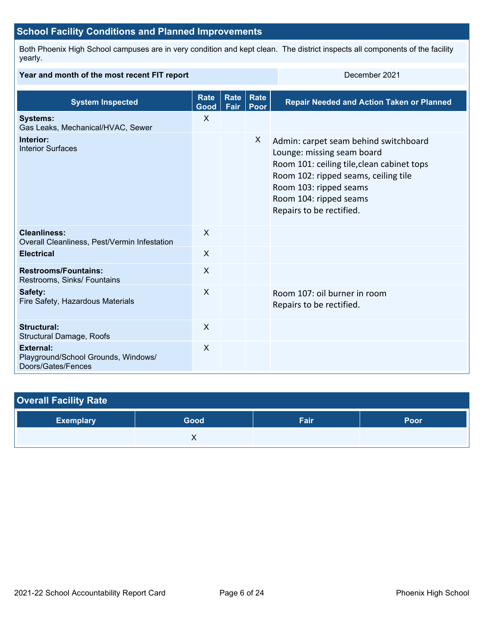## **School Facility Conditions and Planned Improvements**

Both Phoenix High School campuses are in very condition and kept clean. The district inspects all components of the facility yearly.

#### **Year and month of the most recent FIT report December 2021 System Inspected Rate Good Rate Rate Fair Poor Repair Needed and Action Taken or Planned Systems:** Gas Leaks, Mechanical/HVAC, Sewer X **Interior:** Interior Surfaces X Admin: carpet seam behind switchboard Lounge: missing seam board Room 101: ceiling tile,clean cabinet tops Room 102: ripped seams, ceiling tile Room 103: ripped seams Room 104: ripped seams Repairs to be rectified. **Cleanliness:** Overall Cleanliness, Pest/Vermin Infestation X **Electrical** X **Restrooms/Fountains:** Restrooms, Sinks/ Fountains X **Safety:** Fire Safety, Hazardous Materials X Room 107: oil burner in room Repairs to be rectified. **Structural:** Structural Damage, Roofs X **External:** Playground/School Grounds, Windows/ Doors/Gates/Fences X

| <b>Overall Facility Rate</b> |      |      |      |
|------------------------------|------|------|------|
| <b>Exemplary</b>             | Good | Fair | Poor |
|                              |      |      |      |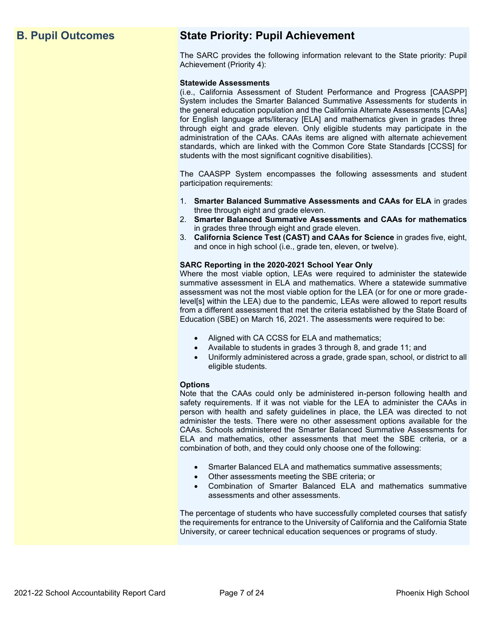## **B. Pupil Outcomes State Priority: Pupil Achievement**

The SARC provides the following information relevant to the State priority: Pupil Achievement (Priority 4):

#### **Statewide Assessments**

(i.e., California Assessment of Student Performance and Progress [CAASPP] System includes the Smarter Balanced Summative Assessments for students in the general education population and the California Alternate Assessments [CAAs] for English language arts/literacy [ELA] and mathematics given in grades three through eight and grade eleven. Only eligible students may participate in the administration of the CAAs. CAAs items are aligned with alternate achievement standards, which are linked with the Common Core State Standards [CCSS] for students with the most significant cognitive disabilities).

The CAASPP System encompasses the following assessments and student participation requirements:

- 1. **Smarter Balanced Summative Assessments and CAAs for ELA** in grades three through eight and grade eleven.
- 2. **Smarter Balanced Summative Assessments and CAAs for mathematics** in grades three through eight and grade eleven.
- 3. **California Science Test (CAST) and CAAs for Science** in grades five, eight, and once in high school (i.e., grade ten, eleven, or twelve).

#### **SARC Reporting in the 2020-2021 School Year Only**

Where the most viable option, LEAs were required to administer the statewide summative assessment in ELA and mathematics. Where a statewide summative assessment was not the most viable option for the LEA (or for one or more gradelevel[s] within the LEA) due to the pandemic, LEAs were allowed to report results from a different assessment that met the criteria established by the State Board of Education (SBE) on March 16, 2021. The assessments were required to be:

- Aligned with CA CCSS for ELA and mathematics;
- Available to students in grades 3 through 8, and grade 11; and
- Uniformly administered across a grade, grade span, school, or district to all eligible students.

#### **Options**

Note that the CAAs could only be administered in-person following health and safety requirements. If it was not viable for the LEA to administer the CAAs in person with health and safety guidelines in place, the LEA was directed to not administer the tests. There were no other assessment options available for the CAAs. Schools administered the Smarter Balanced Summative Assessments for ELA and mathematics, other assessments that meet the SBE criteria, or a combination of both, and they could only choose one of the following:

- Smarter Balanced ELA and mathematics summative assessments;
- Other assessments meeting the SBE criteria; or
- Combination of Smarter Balanced ELA and mathematics summative assessments and other assessments.

The percentage of students who have successfully completed courses that satisfy the requirements for entrance to the University of California and the California State University, or career technical education sequences or programs of study.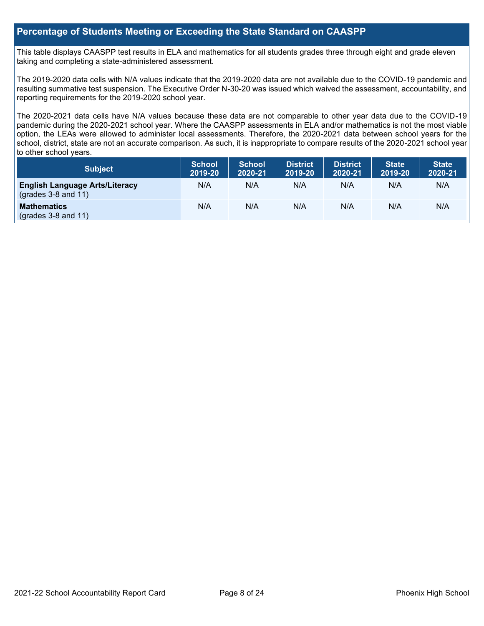### **Percentage of Students Meeting or Exceeding the State Standard on CAASPP**

This table displays CAASPP test results in ELA and mathematics for all students grades three through eight and grade eleven taking and completing a state-administered assessment.

The 2019-2020 data cells with N/A values indicate that the 2019-2020 data are not available due to the COVID-19 pandemic and resulting summative test suspension. The Executive Order N-30-20 was issued which waived the assessment, accountability, and reporting requirements for the 2019-2020 school year.

The 2020-2021 data cells have N/A values because these data are not comparable to other year data due to the COVID-19 pandemic during the 2020-2021 school year. Where the CAASPP assessments in ELA and/or mathematics is not the most viable option, the LEAs were allowed to administer local assessments. Therefore, the 2020-2021 data between school years for the school, district, state are not an accurate comparison. As such, it is inappropriate to compare results of the 2020-2021 school year to other school years.

| Subject                                                              | <b>School</b><br>2019-20 | <b>School</b><br>2020-21 | <b>District</b><br>2019-20 | <b>District</b><br>2020-21 | <b>State</b><br>2019-20 | <b>State</b><br>2020-21 |
|----------------------------------------------------------------------|--------------------------|--------------------------|----------------------------|----------------------------|-------------------------|-------------------------|
| <b>English Language Arts/Literacy</b><br>$\left($ grades 3-8 and 11) | N/A                      | N/A                      | N/A                        | N/A                        | N/A                     | N/A                     |
| <b>Mathematics</b><br>$(grades 3-8 and 11)$                          | N/A                      | N/A                      | N/A                        | N/A                        | N/A                     | N/A                     |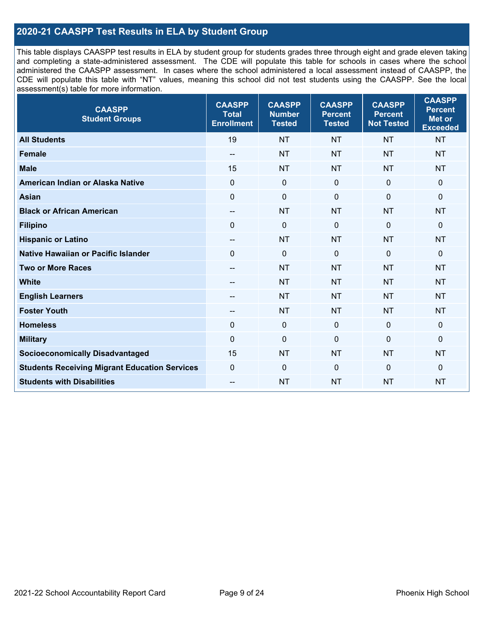## **2020-21 CAASPP Test Results in ELA by Student Group**

This table displays CAASPP test results in ELA by student group for students grades three through eight and grade eleven taking and completing a state-administered assessment. The CDE will populate this table for schools in cases where the school administered the CAASPP assessment. In cases where the school administered a local assessment instead of CAASPP, the CDE will populate this table with "NT" values, meaning this school did not test students using the CAASPP. See the local assessment(s) table for more information.

| <b>CAASPP</b><br><b>Student Groups</b>               | <b>CAASPP</b><br><b>Total</b><br><b>Enrollment</b> | <b>CAASPP</b><br><b>Number</b><br><b>Tested</b> | <b>CAASPP</b><br><b>Percent</b><br><b>Tested</b> | <b>CAASPP</b><br><b>Percent</b><br><b>Not Tested</b> | <b>CAASPP</b><br><b>Percent</b><br><b>Met or</b><br><b>Exceeded</b> |
|------------------------------------------------------|----------------------------------------------------|-------------------------------------------------|--------------------------------------------------|------------------------------------------------------|---------------------------------------------------------------------|
| <b>All Students</b>                                  | 19                                                 | <b>NT</b>                                       | <b>NT</b>                                        | <b>NT</b>                                            | <b>NT</b>                                                           |
| <b>Female</b>                                        | $- -$                                              | <b>NT</b>                                       | <b>NT</b>                                        | <b>NT</b>                                            | <b>NT</b>                                                           |
| <b>Male</b>                                          | 15                                                 | <b>NT</b>                                       | <b>NT</b>                                        | <b>NT</b>                                            | <b>NT</b>                                                           |
| American Indian or Alaska Native                     | $\mathbf 0$                                        | $\pmb{0}$                                       | $\mathbf 0$                                      | $\mathbf 0$                                          | $\mathbf 0$                                                         |
| <b>Asian</b>                                         | $\mathbf{0}$                                       | $\pmb{0}$                                       | $\mathbf{0}$                                     | $\mathbf 0$                                          | 0                                                                   |
| <b>Black or African American</b>                     | $\overline{\phantom{a}}$                           | <b>NT</b>                                       | <b>NT</b>                                        | <b>NT</b>                                            | <b>NT</b>                                                           |
| <b>Filipino</b>                                      | $\Omega$                                           | $\mathbf 0$                                     | $\mathbf{0}$                                     | $\mathbf 0$                                          | 0                                                                   |
| <b>Hispanic or Latino</b>                            | --                                                 | <b>NT</b>                                       | <b>NT</b>                                        | <b>NT</b>                                            | <b>NT</b>                                                           |
| Native Hawaiian or Pacific Islander                  | $\mathbf 0$                                        | $\mathbf 0$                                     | $\mathbf 0$                                      | $\mathbf 0$                                          | 0                                                                   |
| <b>Two or More Races</b>                             | $\overline{\phantom{a}}$                           | <b>NT</b>                                       | <b>NT</b>                                        | <b>NT</b>                                            | <b>NT</b>                                                           |
| <b>White</b>                                         | --                                                 | <b>NT</b>                                       | <b>NT</b>                                        | <b>NT</b>                                            | <b>NT</b>                                                           |
| <b>English Learners</b>                              | --                                                 | <b>NT</b>                                       | <b>NT</b>                                        | <b>NT</b>                                            | <b>NT</b>                                                           |
| <b>Foster Youth</b>                                  | --                                                 | <b>NT</b>                                       | <b>NT</b>                                        | <b>NT</b>                                            | <b>NT</b>                                                           |
| <b>Homeless</b>                                      | $\Omega$                                           | $\boldsymbol{0}$                                | $\mathbf 0$                                      | $\overline{0}$                                       | 0                                                                   |
| <b>Military</b>                                      | $\mathbf 0$                                        | $\pmb{0}$                                       | $\mathbf 0$                                      | $\mathbf 0$                                          | $\mathbf 0$                                                         |
| <b>Socioeconomically Disadvantaged</b>               | 15                                                 | <b>NT</b>                                       | <b>NT</b>                                        | <b>NT</b>                                            | <b>NT</b>                                                           |
| <b>Students Receiving Migrant Education Services</b> | $\mathbf 0$                                        | $\mathbf 0$                                     | $\mathbf 0$                                      | $\overline{0}$                                       | 0                                                                   |
| <b>Students with Disabilities</b>                    | $\overline{a}$                                     | <b>NT</b>                                       | <b>NT</b>                                        | <b>NT</b>                                            | <b>NT</b>                                                           |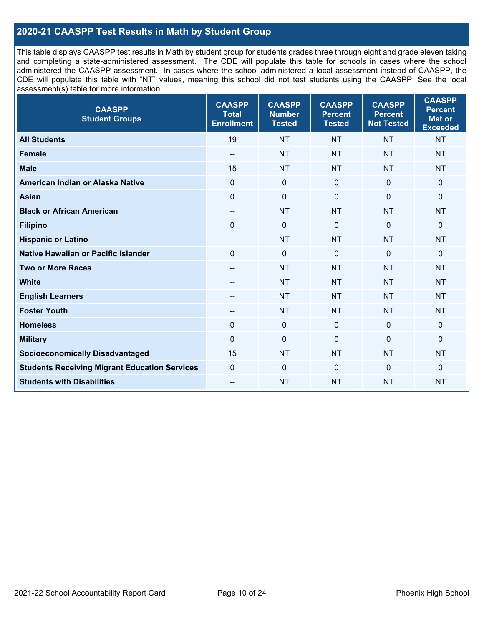## **2020-21 CAASPP Test Results in Math by Student Group**

This table displays CAASPP test results in Math by student group for students grades three through eight and grade eleven taking and completing a state-administered assessment. The CDE will populate this table for schools in cases where the school administered the CAASPP assessment. In cases where the school administered a local assessment instead of CAASPP, the CDE will populate this table with "NT" values, meaning this school did not test students using the CAASPP. See the local assessment(s) table for more information.

| <b>CAASPP</b><br><b>Student Groups</b>               | <b>CAASPP</b><br><b>Total</b><br><b>Enrollment</b> | <b>CAASPP</b><br><b>Number</b><br><b>Tested</b> | <b>CAASPP</b><br><b>Percent</b><br><b>Tested</b> | <b>CAASPP</b><br><b>Percent</b><br><b>Not Tested</b> | <b>CAASPP</b><br><b>Percent</b><br><b>Met or</b><br><b>Exceeded</b> |
|------------------------------------------------------|----------------------------------------------------|-------------------------------------------------|--------------------------------------------------|------------------------------------------------------|---------------------------------------------------------------------|
| <b>All Students</b>                                  | 19                                                 | <b>NT</b>                                       | <b>NT</b>                                        | <b>NT</b>                                            | <b>NT</b>                                                           |
| <b>Female</b>                                        | $- -$                                              | <b>NT</b>                                       | <b>NT</b>                                        | <b>NT</b>                                            | <b>NT</b>                                                           |
| <b>Male</b>                                          | 15                                                 | <b>NT</b>                                       | <b>NT</b>                                        | <b>NT</b>                                            | <b>NT</b>                                                           |
| American Indian or Alaska Native                     | $\mathbf 0$                                        | $\pmb{0}$                                       | $\mathbf 0$                                      | $\mathbf 0$                                          | $\mathbf 0$                                                         |
| <b>Asian</b>                                         | $\mathbf{0}$                                       | $\pmb{0}$                                       | $\mathbf{0}$                                     | $\mathbf 0$                                          | 0                                                                   |
| <b>Black or African American</b>                     | $\overline{\phantom{a}}$                           | <b>NT</b>                                       | <b>NT</b>                                        | <b>NT</b>                                            | <b>NT</b>                                                           |
| <b>Filipino</b>                                      | $\Omega$                                           | $\mathbf 0$                                     | $\mathbf{0}$                                     | $\mathbf 0$                                          | 0                                                                   |
| <b>Hispanic or Latino</b>                            | --                                                 | <b>NT</b>                                       | <b>NT</b>                                        | <b>NT</b>                                            | <b>NT</b>                                                           |
| Native Hawaiian or Pacific Islander                  | $\mathbf 0$                                        | $\mathbf 0$                                     | $\mathbf 0$                                      | $\mathbf 0$                                          | 0                                                                   |
| <b>Two or More Races</b>                             | $\overline{\phantom{a}}$                           | <b>NT</b>                                       | <b>NT</b>                                        | <b>NT</b>                                            | <b>NT</b>                                                           |
| <b>White</b>                                         | --                                                 | <b>NT</b>                                       | <b>NT</b>                                        | <b>NT</b>                                            | <b>NT</b>                                                           |
| <b>English Learners</b>                              | --                                                 | <b>NT</b>                                       | <b>NT</b>                                        | <b>NT</b>                                            | <b>NT</b>                                                           |
| <b>Foster Youth</b>                                  | --                                                 | <b>NT</b>                                       | <b>NT</b>                                        | <b>NT</b>                                            | <b>NT</b>                                                           |
| <b>Homeless</b>                                      | $\Omega$                                           | $\boldsymbol{0}$                                | $\mathbf 0$                                      | $\overline{0}$                                       | 0                                                                   |
| <b>Military</b>                                      | $\mathbf 0$                                        | $\pmb{0}$                                       | $\mathbf 0$                                      | $\mathbf 0$                                          | $\mathbf 0$                                                         |
| <b>Socioeconomically Disadvantaged</b>               | 15                                                 | <b>NT</b>                                       | <b>NT</b>                                        | <b>NT</b>                                            | <b>NT</b>                                                           |
| <b>Students Receiving Migrant Education Services</b> | $\mathbf 0$                                        | $\mathbf 0$                                     | $\mathbf 0$                                      | $\overline{0}$                                       | 0                                                                   |
| <b>Students with Disabilities</b>                    | $\overline{a}$                                     | <b>NT</b>                                       | <b>NT</b>                                        | <b>NT</b>                                            | <b>NT</b>                                                           |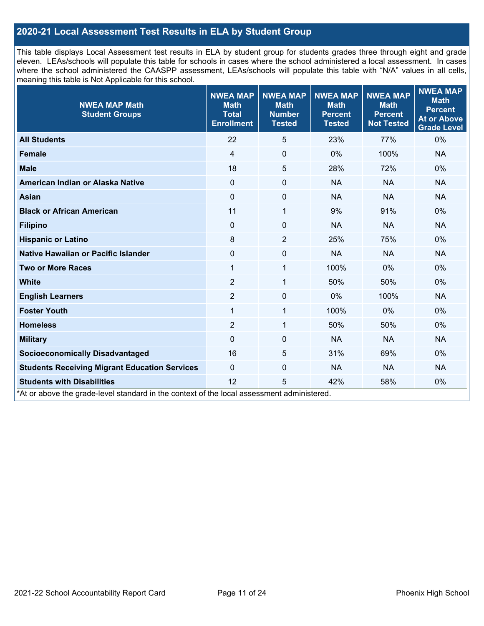## **2020-21 Local Assessment Test Results in ELA by Student Group**

This table displays Local Assessment test results in ELA by student group for students grades three through eight and grade eleven. LEAs/schools will populate this table for schools in cases where the school administered a local assessment. In cases where the school administered the CAASPP assessment, LEAs/schools will populate this table with "N/A" values in all cells, meaning this table is Not Applicable for this school.

| <b>NWEA MAP Math</b><br><b>Student Groups</b>                                                                                   | <b>NWEA MAP</b><br><b>Math</b><br><b>Total</b><br><b>Enrollment</b> | <b>NWEA MAP</b><br><b>Math</b><br><b>Number</b><br><b>Tested</b> | <b>NWEA MAP</b><br><b>Math</b><br><b>Percent</b><br><b>Tested</b> | <b>NWEA MAP</b><br><b>Math</b><br><b>Percent</b><br><b>Not Tested</b> | <b>NWEA MAP</b><br><b>Math</b><br><b>Percent</b><br><b>At or Above</b><br><b>Grade Level</b> |
|---------------------------------------------------------------------------------------------------------------------------------|---------------------------------------------------------------------|------------------------------------------------------------------|-------------------------------------------------------------------|-----------------------------------------------------------------------|----------------------------------------------------------------------------------------------|
| <b>All Students</b>                                                                                                             | 22                                                                  | 5                                                                | 23%                                                               | 77%                                                                   | 0%                                                                                           |
| <b>Female</b>                                                                                                                   | $\overline{4}$                                                      | $\pmb{0}$                                                        | $0\%$                                                             | 100%                                                                  | <b>NA</b>                                                                                    |
| <b>Male</b>                                                                                                                     | 18                                                                  | 5                                                                | 28%                                                               | 72%                                                                   | 0%                                                                                           |
| American Indian or Alaska Native                                                                                                | $\Omega$                                                            | $\pmb{0}$                                                        | <b>NA</b>                                                         | <b>NA</b>                                                             | <b>NA</b>                                                                                    |
| <b>Asian</b>                                                                                                                    | $\Omega$                                                            | $\pmb{0}$                                                        | <b>NA</b>                                                         | <b>NA</b>                                                             | <b>NA</b>                                                                                    |
| <b>Black or African American</b>                                                                                                | 11                                                                  | 1                                                                | 9%                                                                | 91%                                                                   | 0%                                                                                           |
| <b>Filipino</b>                                                                                                                 | $\Omega$                                                            | $\mathbf 0$                                                      | <b>NA</b>                                                         | <b>NA</b>                                                             | <b>NA</b>                                                                                    |
| <b>Hispanic or Latino</b>                                                                                                       | 8                                                                   | $\overline{2}$                                                   | 25%                                                               | 75%                                                                   | 0%                                                                                           |
| <b>Native Hawaiian or Pacific Islander</b>                                                                                      | 0                                                                   | $\pmb{0}$                                                        | <b>NA</b>                                                         | <b>NA</b>                                                             | <b>NA</b>                                                                                    |
| <b>Two or More Races</b>                                                                                                        | $\mathbf 1$                                                         | 1                                                                | 100%                                                              | 0%                                                                    | 0%                                                                                           |
| <b>White</b>                                                                                                                    | $\overline{2}$                                                      | 1                                                                | 50%                                                               | 50%                                                                   | 0%                                                                                           |
| <b>English Learners</b>                                                                                                         | $\overline{2}$                                                      | $\mathbf 0$                                                      | 0%                                                                | 100%                                                                  | <b>NA</b>                                                                                    |
| <b>Foster Youth</b>                                                                                                             | $\mathbf{1}$                                                        | $\mathbf{1}$                                                     | 100%                                                              | 0%                                                                    | $0\%$                                                                                        |
| <b>Homeless</b>                                                                                                                 | $\overline{2}$                                                      | 1                                                                | 50%                                                               | 50%                                                                   | 0%                                                                                           |
| <b>Military</b>                                                                                                                 | $\Omega$                                                            | $\mathbf 0$                                                      | <b>NA</b>                                                         | <b>NA</b>                                                             | <b>NA</b>                                                                                    |
| <b>Socioeconomically Disadvantaged</b>                                                                                          | 16                                                                  | 5                                                                | 31%                                                               | 69%                                                                   | 0%                                                                                           |
| <b>Students Receiving Migrant Education Services</b>                                                                            | $\mathbf{0}$                                                        | 0                                                                | <b>NA</b>                                                         | <b>NA</b>                                                             | <b>NA</b>                                                                                    |
| <b>Students with Disabilities</b><br>*At or above the grade-level standard in the context of the local assessment administered. | 12                                                                  | 5                                                                | 42%                                                               | 58%                                                                   | 0%                                                                                           |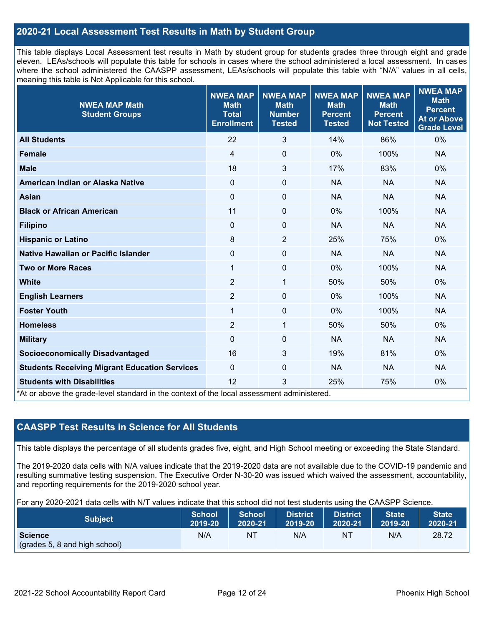## **2020-21 Local Assessment Test Results in Math by Student Group**

This table displays Local Assessment test results in Math by student group for students grades three through eight and grade eleven. LEAs/schools will populate this table for schools in cases where the school administered a local assessment. In cases where the school administered the CAASPP assessment, LEAs/schools will populate this table with "N/A" values in all cells, meaning this table is Not Applicable for this school.

| <b>NWEA MAP Math</b><br><b>Student Groups</b>                                                                                   | <b>NWEA MAP</b><br><b>Math</b><br><b>Total</b><br><b>Enrollment</b> | <b>NWEA MAP</b><br><b>Math</b><br><b>Number</b><br><b>Tested</b> | <b>NWEA MAP</b><br><b>Math</b><br><b>Percent</b><br><b>Tested</b> | <b>NWEA MAP</b><br><b>Math</b><br><b>Percent</b><br><b>Not Tested</b> | <b>NWEA MAP</b><br><b>Math</b><br><b>Percent</b><br><b>At or Above</b><br><b>Grade Level</b> |
|---------------------------------------------------------------------------------------------------------------------------------|---------------------------------------------------------------------|------------------------------------------------------------------|-------------------------------------------------------------------|-----------------------------------------------------------------------|----------------------------------------------------------------------------------------------|
| <b>All Students</b>                                                                                                             | 22                                                                  | 3                                                                | 14%                                                               | 86%                                                                   | 0%                                                                                           |
| <b>Female</b>                                                                                                                   | 4                                                                   | $\mathbf 0$                                                      | $0\%$                                                             | 100%                                                                  | <b>NA</b>                                                                                    |
| <b>Male</b>                                                                                                                     | 18                                                                  | 3                                                                | 17%                                                               | 83%                                                                   | 0%                                                                                           |
| American Indian or Alaska Native                                                                                                | $\Omega$                                                            | 0                                                                | <b>NA</b>                                                         | <b>NA</b>                                                             | <b>NA</b>                                                                                    |
| <b>Asian</b>                                                                                                                    | $\mathbf{0}$                                                        | $\mathbf 0$                                                      | <b>NA</b>                                                         | <b>NA</b>                                                             | <b>NA</b>                                                                                    |
| <b>Black or African American</b>                                                                                                | 11                                                                  | $\pmb{0}$                                                        | $0\%$                                                             | 100%                                                                  | <b>NA</b>                                                                                    |
| <b>Filipino</b>                                                                                                                 | $\mathbf 0$                                                         | 0                                                                | <b>NA</b>                                                         | <b>NA</b>                                                             | <b>NA</b>                                                                                    |
| <b>Hispanic or Latino</b>                                                                                                       | 8                                                                   | 2                                                                | 25%                                                               | 75%                                                                   | 0%                                                                                           |
| Native Hawaiian or Pacific Islander                                                                                             | $\Omega$                                                            | 0                                                                | <b>NA</b>                                                         | <b>NA</b>                                                             | <b>NA</b>                                                                                    |
| <b>Two or More Races</b>                                                                                                        | 1                                                                   | 0                                                                | 0%                                                                | 100%                                                                  | <b>NA</b>                                                                                    |
| <b>White</b>                                                                                                                    | $\overline{2}$                                                      | 1                                                                | 50%                                                               | 50%                                                                   | 0%                                                                                           |
| <b>English Learners</b>                                                                                                         | $\overline{2}$                                                      | $\mathbf 0$                                                      | 0%                                                                | 100%                                                                  | <b>NA</b>                                                                                    |
| <b>Foster Youth</b>                                                                                                             | 1                                                                   | $\pmb{0}$                                                        | 0%                                                                | 100%                                                                  | <b>NA</b>                                                                                    |
| <b>Homeless</b>                                                                                                                 | $\overline{2}$                                                      | 1                                                                | 50%                                                               | 50%                                                                   | 0%                                                                                           |
| <b>Military</b>                                                                                                                 | $\Omega$                                                            | 0                                                                | <b>NA</b>                                                         | <b>NA</b>                                                             | <b>NA</b>                                                                                    |
| <b>Socioeconomically Disadvantaged</b>                                                                                          | 16                                                                  | 3                                                                | 19%                                                               | 81%                                                                   | $0\%$                                                                                        |
| <b>Students Receiving Migrant Education Services</b>                                                                            | 0                                                                   | $\boldsymbol{0}$                                                 | <b>NA</b>                                                         | <b>NA</b>                                                             | <b>NA</b>                                                                                    |
| <b>Students with Disabilities</b><br>*At or above the grade-level standard in the context of the local assessment administered. | 12                                                                  | 3                                                                | 25%                                                               | 75%                                                                   | 0%                                                                                           |

## **CAASPP Test Results in Science for All Students**

This table displays the percentage of all students grades five, eight, and High School meeting or exceeding the State Standard.

The 2019-2020 data cells with N/A values indicate that the 2019-2020 data are not available due to the COVID-19 pandemic and resulting summative testing suspension. The Executive Order N-30-20 was issued which waived the assessment, accountability, and reporting requirements for the 2019-2020 school year.

For any 2020-2021 data cells with N/T values indicate that this school did not test students using the CAASPP Science.

| <b>Subject</b>                                  | <b>School</b> | <b>School</b> | <b>District</b> | District | <b>State</b> | <b>State</b> |
|-------------------------------------------------|---------------|---------------|-----------------|----------|--------------|--------------|
|                                                 | 2019-20       | 2020-21       | 2019-20         | 2020-21  | 2019-20      | 2020-21      |
| <b>Science</b><br>(grades 5, 8 and high school) | N/A           | ΝT            | N/A             | ΝT       | N/A          | 28.72        |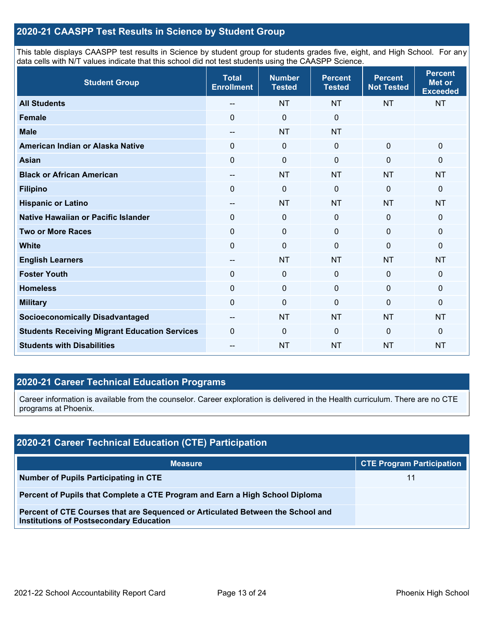## **2020-21 CAASPP Test Results in Science by Student Group**

This table displays CAASPP test results in Science by student group for students grades five, eight, and High School. For any data cells with N/T values indicate that this school did not test students using the CAASPP Science.

| <b>Student Group</b>                                 | <b>Total</b><br><b>Enrollment</b> | <b>Number</b><br><b>Tested</b> | <b>Percent</b><br><b>Tested</b> | <b>Percent</b><br><b>Not Tested</b> | <b>Percent</b><br>Met or<br><b>Exceeded</b> |
|------------------------------------------------------|-----------------------------------|--------------------------------|---------------------------------|-------------------------------------|---------------------------------------------|
| <b>All Students</b>                                  | --                                | <b>NT</b>                      | <b>NT</b>                       | <b>NT</b>                           | <b>NT</b>                                   |
| <b>Female</b>                                        | $\Omega$                          | $\mathbf 0$                    | $\mathbf 0$                     |                                     |                                             |
| <b>Male</b>                                          | $-$                               | <b>NT</b>                      | <b>NT</b>                       |                                     |                                             |
| American Indian or Alaska Native                     | $\Omega$                          | $\mathbf 0$                    | $\mathbf 0$                     | $\mathbf{0}$                        | 0                                           |
| <b>Asian</b>                                         | $\mathbf 0$                       | $\mathbf 0$                    | $\mathbf 0$                     | $\mathbf 0$                         | 0                                           |
| <b>Black or African American</b>                     | $\qquad \qquad -$                 | <b>NT</b>                      | <b>NT</b>                       | <b>NT</b>                           | <b>NT</b>                                   |
| <b>Filipino</b>                                      | $\Omega$                          | $\mathbf 0$                    | $\mathbf 0$                     | $\Omega$                            | 0                                           |
| <b>Hispanic or Latino</b>                            | $\qquad \qquad -$                 | <b>NT</b>                      | <b>NT</b>                       | <b>NT</b>                           | <b>NT</b>                                   |
| Native Hawaiian or Pacific Islander                  | $\Omega$                          | $\mathbf 0$                    | $\mathbf 0$                     | $\mathbf 0$                         | 0                                           |
| <b>Two or More Races</b>                             | $\Omega$                          | $\mathbf 0$                    | $\Omega$                        | $\Omega$                            | 0                                           |
| <b>White</b>                                         | $\Omega$                          | $\mathbf 0$                    | $\Omega$                        | $\Omega$                            | 0                                           |
| <b>English Learners</b>                              | $- -$                             | <b>NT</b>                      | <b>NT</b>                       | <b>NT</b>                           | <b>NT</b>                                   |
| <b>Foster Youth</b>                                  | $\mathbf 0$                       | $\pmb{0}$                      | $\mathbf 0$                     | $\mathbf 0$                         | 0                                           |
| <b>Homeless</b>                                      | $\mathbf 0$                       | $\mathbf 0$                    | $\mathbf 0$                     | $\mathbf 0$                         | 0                                           |
| <b>Military</b>                                      | 0                                 | $\mathbf 0$                    | 0                               | 0                                   | 0                                           |
| <b>Socioeconomically Disadvantaged</b>               | $\qquad \qquad -$                 | <b>NT</b>                      | <b>NT</b>                       | <b>NT</b>                           | <b>NT</b>                                   |
| <b>Students Receiving Migrant Education Services</b> | $\mathbf 0$                       | $\mathbf 0$                    | $\mathbf 0$                     | $\overline{0}$                      | 0                                           |
| <b>Students with Disabilities</b>                    | --                                | <b>NT</b>                      | <b>NT</b>                       | <b>NT</b>                           | <b>NT</b>                                   |

## **2020-21 Career Technical Education Programs**

Career information is available from the counselor. Career exploration is delivered in the Health curriculum. There are no CTE programs at Phoenix.

| 2020-21 Career Technical Education (CTE) Participation                                                                            |                                  |  |  |  |  |
|-----------------------------------------------------------------------------------------------------------------------------------|----------------------------------|--|--|--|--|
| <b>Measure</b>                                                                                                                    | <b>CTE Program Participation</b> |  |  |  |  |
| Number of Pupils Participating in CTE                                                                                             |                                  |  |  |  |  |
| Percent of Pupils that Complete a CTE Program and Earn a High School Diploma                                                      |                                  |  |  |  |  |
| Percent of CTE Courses that are Sequenced or Articulated Between the School and<br><b>Institutions of Postsecondary Education</b> |                                  |  |  |  |  |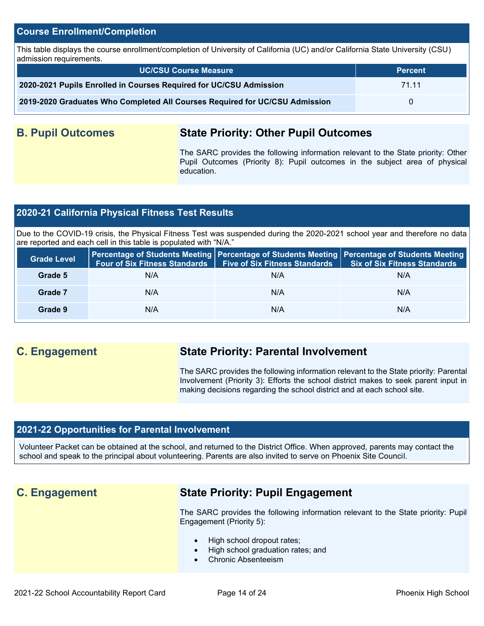#### **Course Enrollment/Completion**

This table displays the course enrollment/completion of University of California (UC) and/or California State University (CSU) admission requirements.

| <b>UC/CSU Course Measure</b>                                                | <b>Percent</b> |
|-----------------------------------------------------------------------------|----------------|
| 2020-2021 Pupils Enrolled in Courses Required for UC/CSU Admission          | 71 11          |
| 2019-2020 Graduates Who Completed All Courses Required for UC/CSU Admission |                |

## **B. Pupil Outcomes State Priority: Other Pupil Outcomes**

The SARC provides the following information relevant to the State priority: Other Pupil Outcomes (Priority 8): Pupil outcomes in the subject area of physical education.

## **2020-21 California Physical Fitness Test Results**

Due to the COVID-19 crisis, the Physical Fitness Test was suspended during the 2020-2021 school year and therefore no data are reported and each cell in this table is populated with "N/A."

| <b>Grade Level</b> |     | Four of Six Fitness Standards   Five of Six Fitness Standards | Percentage of Students Meeting   Percentage of Students Meeting   Percentage of Students Meeting<br><b>Six of Six Fitness Standards</b> |
|--------------------|-----|---------------------------------------------------------------|-----------------------------------------------------------------------------------------------------------------------------------------|
| Grade 5            | N/A | N/A                                                           | N/A                                                                                                                                     |
| Grade 7            | N/A | N/A                                                           | N/A                                                                                                                                     |
| Grade 9            | N/A | N/A                                                           | N/A                                                                                                                                     |

## **C. Engagement State Priority: Parental Involvement**

The SARC provides the following information relevant to the State priority: Parental Involvement (Priority 3): Efforts the school district makes to seek parent input in making decisions regarding the school district and at each school site.

## **2021-22 Opportunities for Parental Involvement**

Volunteer Packet can be obtained at the school, and returned to the District Office. When approved, parents may contact the school and speak to the principal about volunteering. Parents are also invited to serve on Phoenix Site Council.

## **C. Engagement State Priority: Pupil Engagement**

The SARC provides the following information relevant to the State priority: Pupil Engagement (Priority 5):

- High school dropout rates;
- High school graduation rates; and
- Chronic Absenteeism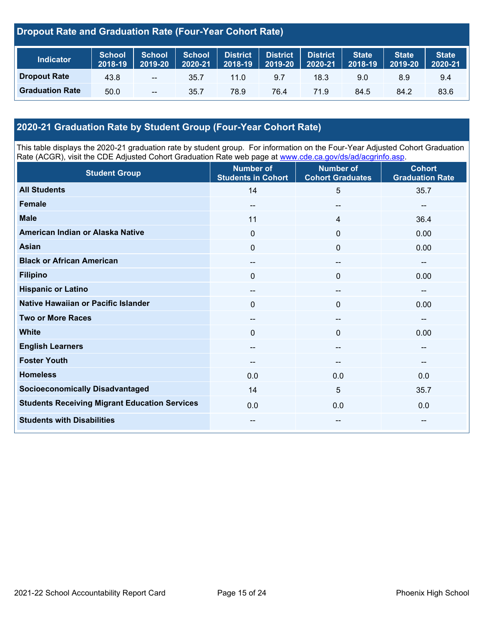## **Dropout Rate and Graduation Rate (Four-Year Cohort Rate)**

| <b>Indicator</b>       | <b>School</b><br>2018-19 | <b>School</b><br>2019-20 | School<br>2020-21 | District   District | 2018-19 2019-20 | <b>District</b><br>2020-21 | <b>State</b><br>2018-19 | <b>State</b><br>2019-20 | <b>State</b><br>2020-21 |
|------------------------|--------------------------|--------------------------|-------------------|---------------------|-----------------|----------------------------|-------------------------|-------------------------|-------------------------|
| <b>Dropout Rate</b>    | 43.8                     | $\overline{\phantom{a}}$ | 35.7              | $11.0^{\circ}$      | 9.7             | 18.3                       | 9.0                     | 8.9                     | 9.4                     |
| <b>Graduation Rate</b> | 50.0                     | $\sim$                   | 35.7              | 78.9                | 76.4            | 71.9                       | 84.5                    | 84.2                    | 83.6                    |

## **2020-21 Graduation Rate by Student Group (Four-Year Cohort Rate)**

This table displays the 2020-21 graduation rate by student group. For information on the Four-Year Adjusted Cohort Graduation Rate (ACGR), visit the CDE Adjusted Cohort Graduation Rate web page at [www.cde.ca.gov/ds/ad/acgrinfo.asp.](http://www.cde.ca.gov/ds/ad/acgrinfo.asp)

| <b>Student Group</b>                                 | <b>Number of</b><br><b>Students in Cohort</b> | <b>Number of</b><br><b>Cohort Graduates</b> | <b>Cohort</b><br><b>Graduation Rate</b> |
|------------------------------------------------------|-----------------------------------------------|---------------------------------------------|-----------------------------------------|
| <b>All Students</b>                                  | 14                                            | $5\phantom{.0}$                             | 35.7                                    |
| <b>Female</b>                                        | --                                            | $\hspace{0.05cm}$                           | --                                      |
| <b>Male</b>                                          | 11                                            | 4                                           | 36.4                                    |
| American Indian or Alaska Native                     | 0                                             | $\mathbf 0$                                 | 0.00                                    |
| <b>Asian</b>                                         | 0                                             | $\mathbf 0$                                 | 0.00                                    |
| <b>Black or African American</b>                     | $\qquad \qquad -$                             | $\overline{\phantom{a}}$                    | $-$                                     |
| <b>Filipino</b>                                      | $\mathbf{0}$                                  | $\mathbf 0$                                 | 0.00                                    |
| <b>Hispanic or Latino</b>                            | $\qquad \qquad -$                             | $\overline{\phantom{a}}$                    | --                                      |
| Native Hawaiian or Pacific Islander                  | 0                                             | $\mathbf 0$                                 | 0.00                                    |
| <b>Two or More Races</b>                             | --                                            | $\overline{\phantom{a}}$                    | --                                      |
| <b>White</b>                                         | 0                                             | $\mathbf 0$                                 | 0.00                                    |
| <b>English Learners</b>                              | --                                            | --                                          | --                                      |
| <b>Foster Youth</b>                                  | --                                            | --                                          | --                                      |
| <b>Homeless</b>                                      | 0.0                                           | 0.0                                         | 0.0                                     |
| <b>Socioeconomically Disadvantaged</b>               | 14                                            | $\overline{5}$                              | 35.7                                    |
| <b>Students Receiving Migrant Education Services</b> | 0.0                                           | 0.0                                         | 0.0                                     |
| <b>Students with Disabilities</b>                    | --                                            | $- -$                                       | --                                      |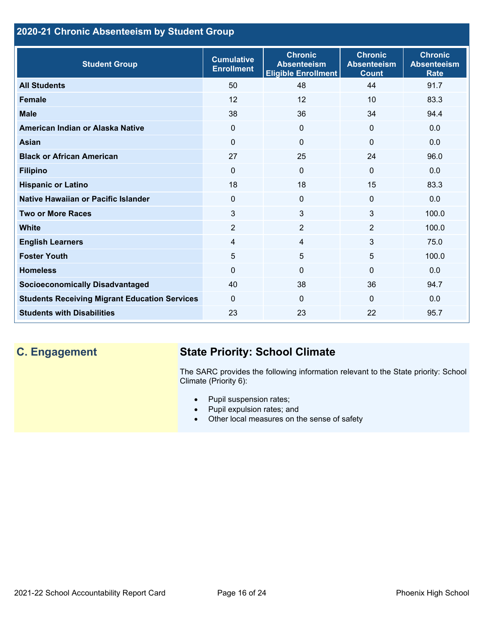## **2020-21 Chronic Absenteeism by Student Group**

| <b>Student Group</b>                                 | <b>Cumulative</b><br><b>Enrollment</b> | <b>Chronic</b><br><b>Absenteeism</b><br><b>Eligible Enrollment</b> | <b>Chronic</b><br><b>Absenteeism</b><br><b>Count</b> | <b>Chronic</b><br><b>Absenteeism</b><br><b>Rate</b> |
|------------------------------------------------------|----------------------------------------|--------------------------------------------------------------------|------------------------------------------------------|-----------------------------------------------------|
| <b>All Students</b>                                  | 50                                     | 48                                                                 | 44                                                   | 91.7                                                |
| <b>Female</b>                                        | 12                                     | 12                                                                 | 10                                                   | 83.3                                                |
| <b>Male</b>                                          | 38                                     | 36                                                                 | 34                                                   | 94.4                                                |
| American Indian or Alaska Native                     | 0                                      | $\Omega$                                                           | $\mathbf{0}$                                         | 0.0                                                 |
| Asian                                                | $\Omega$                               | $\Omega$                                                           | $\mathbf{0}$                                         | 0.0                                                 |
| <b>Black or African American</b>                     | 27                                     | 25                                                                 | 24                                                   | 96.0                                                |
| <b>Filipino</b>                                      | $\Omega$                               | $\mathbf 0$                                                        | $\mathbf{0}$                                         | 0.0                                                 |
| <b>Hispanic or Latino</b>                            | 18                                     | 18                                                                 | 15                                                   | 83.3                                                |
| Native Hawaiian or Pacific Islander                  | $\Omega$                               | $\mathbf{0}$                                                       | $\mathbf 0$                                          | 0.0                                                 |
| <b>Two or More Races</b>                             | 3                                      | 3                                                                  | 3                                                    | 100.0                                               |
| <b>White</b>                                         | $\overline{2}$                         | $\overline{2}$                                                     | 2                                                    | 100.0                                               |
| <b>English Learners</b>                              | 4                                      | $\overline{4}$                                                     | $\mathbf{3}$                                         | 75.0                                                |
| <b>Foster Youth</b>                                  | 5                                      | 5                                                                  | 5                                                    | 100.0                                               |
| <b>Homeless</b>                                      | 0                                      | $\mathbf 0$                                                        | $\Omega$                                             | 0.0                                                 |
| <b>Socioeconomically Disadvantaged</b>               | 40                                     | 38                                                                 | 36                                                   | 94.7                                                |
| <b>Students Receiving Migrant Education Services</b> | $\Omega$                               | $\Omega$                                                           | $\Omega$                                             | 0.0                                                 |
| <b>Students with Disabilities</b>                    | 23                                     | 23                                                                 | 22                                                   | 95.7                                                |

## **C. Engagement State Priority: School Climate**

The SARC provides the following information relevant to the State priority: School Climate (Priority 6):

- Pupil suspension rates;
- Pupil expulsion rates; and
- Other local measures on the sense of safety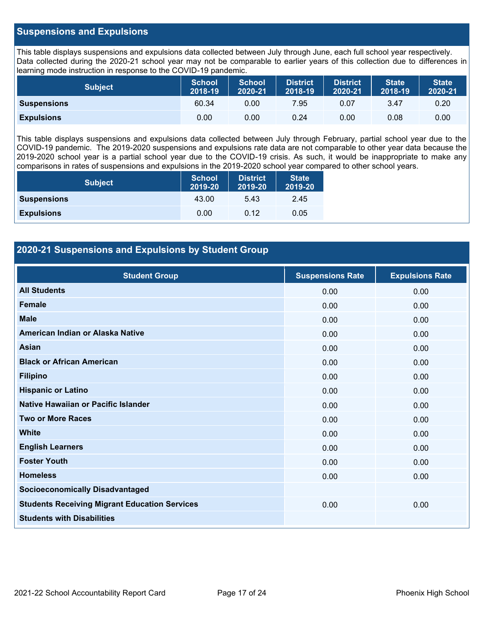### **Suspensions and Expulsions**

This table displays suspensions and expulsions data collected between July through June, each full school year respectively. Data collected during the 2020-21 school year may not be comparable to earlier years of this collection due to differences in learning mode instruction in response to the COVID-19 pandemic.

| <b>Subject</b>     | <b>School</b><br>2018-19 | <b>School</b><br>2020-21 | <b>District</b><br>2018-19 | <b>District</b><br>2020-21 | <b>State</b><br>2018-19 | <b>State</b><br>2020-21 |
|--------------------|--------------------------|--------------------------|----------------------------|----------------------------|-------------------------|-------------------------|
| <b>Suspensions</b> | 60.34                    | 0.00                     | 7.95                       | 0.07                       | 3.47                    | 0.20                    |
| <b>Expulsions</b>  | 0.00                     | 0.00                     | 0.24                       | 0.00                       | 0.08                    | 0.00                    |

This table displays suspensions and expulsions data collected between July through February, partial school year due to the COVID-19 pandemic. The 2019-2020 suspensions and expulsions rate data are not comparable to other year data because the 2019-2020 school year is a partial school year due to the COVID-19 crisis. As such, it would be inappropriate to make any comparisons in rates of suspensions and expulsions in the 2019-2020 school year compared to other school years.

| <b>Subject</b>     | <b>School</b><br>2019-20 | <b>District</b><br>2019-20 | <b>State</b><br>2019-20 |
|--------------------|--------------------------|----------------------------|-------------------------|
| <b>Suspensions</b> | 43.00                    | 5.43                       | 2.45                    |
| <b>Expulsions</b>  | 0.00                     | 0.12                       | 0.05                    |

## **2020-21 Suspensions and Expulsions by Student Group**

| <b>Student Group</b>                                 | <b>Suspensions Rate</b> | <b>Expulsions Rate</b> |
|------------------------------------------------------|-------------------------|------------------------|
| <b>All Students</b>                                  | 0.00                    | 0.00                   |
| Female                                               | 0.00                    | 0.00                   |
| <b>Male</b>                                          | 0.00                    | 0.00                   |
| American Indian or Alaska Native                     | 0.00                    | 0.00                   |
| Asian                                                | 0.00                    | 0.00                   |
| <b>Black or African American</b>                     | 0.00                    | 0.00                   |
| <b>Filipino</b>                                      | 0.00                    | 0.00                   |
| <b>Hispanic or Latino</b>                            | 0.00                    | 0.00                   |
| Native Hawaiian or Pacific Islander                  | 0.00                    | 0.00                   |
| <b>Two or More Races</b>                             | 0.00                    | 0.00                   |
| <b>White</b>                                         | 0.00                    | 0.00                   |
| <b>English Learners</b>                              | 0.00                    | 0.00                   |
| <b>Foster Youth</b>                                  | 0.00                    | 0.00                   |
| <b>Homeless</b>                                      | 0.00                    | 0.00                   |
| <b>Socioeconomically Disadvantaged</b>               |                         |                        |
| <b>Students Receiving Migrant Education Services</b> | 0.00                    | 0.00                   |
| <b>Students with Disabilities</b>                    |                         |                        |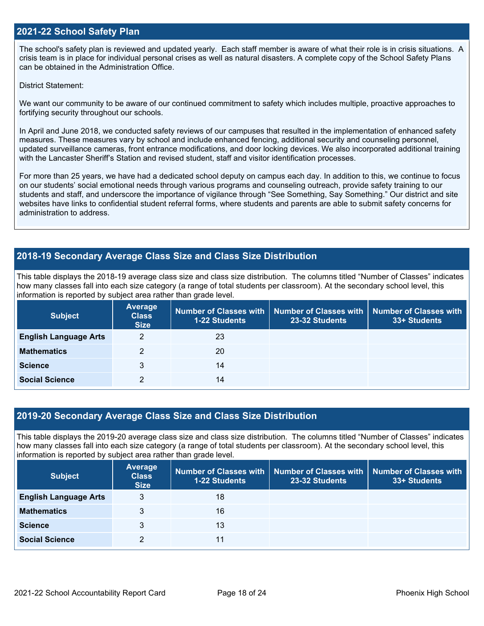#### **2021-22 School Safety Plan**

The school's safety plan is reviewed and updated yearly. Each staff member is aware of what their role is in crisis situations. A crisis team is in place for individual personal crises as well as natural disasters. A complete copy of the School Safety Plans can be obtained in the Administration Office.

District Statement:

We want our community to be aware of our continued commitment to safety which includes multiple, proactive approaches to fortifying security throughout our schools.

In April and June 2018, we conducted safety reviews of our campuses that resulted in the implementation of enhanced safety measures. These measures vary by school and include enhanced fencing, additional security and counseling personnel, updated surveillance cameras, front entrance modifications, and door locking devices. We also incorporated additional training with the Lancaster Sheriff's Station and revised student, staff and visitor identification processes.

For more than 25 years, we have had a dedicated school deputy on campus each day. In addition to this, we continue to focus on our students' social emotional needs through various programs and counseling outreach, provide safety training to our students and staff, and underscore the importance of vigilance through "See Something, Say Something." Our district and site websites have links to confidential student referral forms, where students and parents are able to submit safety concerns for administration to address.

## **2018-19 Secondary Average Class Size and Class Size Distribution**

This table displays the 2018-19 average class size and class size distribution. The columns titled "Number of Classes" indicates how many classes fall into each size category (a range of total students per classroom). At the secondary school level, this information is reported by subject area rather than grade level.

| <b>Subject</b>               | Average<br><b>Class</b><br><b>Size</b> | <b>1-22 Students</b> | Number of Classes with   Number of Classes with<br>23-32 Students | Number of Classes with<br>33+ Students |
|------------------------------|----------------------------------------|----------------------|-------------------------------------------------------------------|----------------------------------------|
| <b>English Language Arts</b> | 2                                      | 23                   |                                                                   |                                        |
| <b>Mathematics</b>           | っ                                      | 20                   |                                                                   |                                        |
| <b>Science</b>               | 3                                      | 14                   |                                                                   |                                        |
| <b>Social Science</b>        |                                        | 14                   |                                                                   |                                        |

#### **2019-20 Secondary Average Class Size and Class Size Distribution**

This table displays the 2019-20 average class size and class size distribution. The columns titled "Number of Classes" indicates how many classes fall into each size category (a range of total students per classroom). At the secondary school level, this information is reported by subject area rather than grade level.

| <b>Subject</b>               | Average<br><b>Class</b><br><b>Size</b> | <b>1-22 Students</b> | Number of Classes with   Number of Classes with<br>23-32 Students | <b>Number of Classes with</b><br>33+ Students |
|------------------------------|----------------------------------------|----------------------|-------------------------------------------------------------------|-----------------------------------------------|
| <b>English Language Arts</b> | 3                                      | 18                   |                                                                   |                                               |
| <b>Mathematics</b>           | 3                                      | 16                   |                                                                   |                                               |
| <b>Science</b>               | 3                                      | 13                   |                                                                   |                                               |
| <b>Social Science</b>        | 2                                      | 11                   |                                                                   |                                               |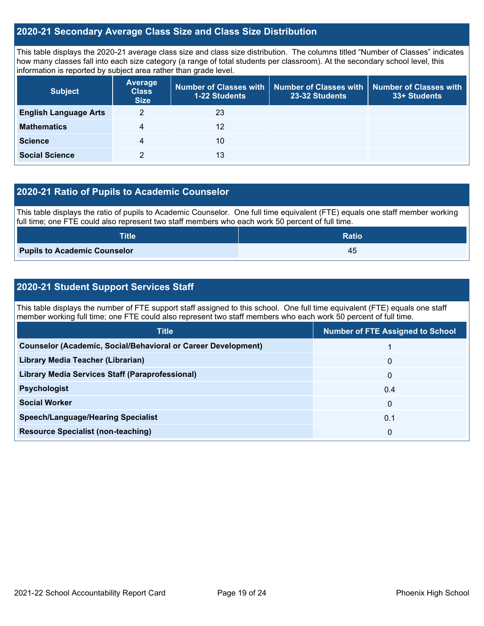### **2020-21 Secondary Average Class Size and Class Size Distribution**

This table displays the 2020-21 average class size and class size distribution. The columns titled "Number of Classes" indicates how many classes fall into each size category (a range of total students per classroom). At the secondary school level, this information is reported by subject area rather than grade level.

| <b>Subject</b>               | <b>Average</b><br><b>Class</b><br><b>Size</b> | 1-22 Students | Number of Classes with   Number of Classes with   Number of Classes with<br>23-32 Students | 33+ Students |
|------------------------------|-----------------------------------------------|---------------|--------------------------------------------------------------------------------------------|--------------|
| <b>English Language Arts</b> | 2                                             | 23            |                                                                                            |              |
| <b>Mathematics</b>           | 4                                             | 12            |                                                                                            |              |
| <b>Science</b>               | 4                                             | 10            |                                                                                            |              |
| <b>Social Science</b>        |                                               | 13            |                                                                                            |              |

## **2020-21 Ratio of Pupils to Academic Counselor**

This table displays the ratio of pupils to Academic Counselor. One full time equivalent (FTE) equals one staff member working full time; one FTE could also represent two staff members who each work 50 percent of full time.

| <b>Title</b>                        | <b>Ratio</b> |
|-------------------------------------|--------------|
| <b>Pupils to Academic Counselor</b> | -45          |

## **2020-21 Student Support Services Staff**

This table displays the number of FTE support staff assigned to this school. One full time equivalent (FTE) equals one staff member working full time; one FTE could also represent two staff members who each work 50 percent of full time.

| <b>Number of FTE Assigned to School</b> |
|-----------------------------------------|
|                                         |
| $\mathbf{0}$                            |
| $\mathbf{0}$                            |
| 0.4                                     |
| 0                                       |
| 0.1                                     |
| 0                                       |
|                                         |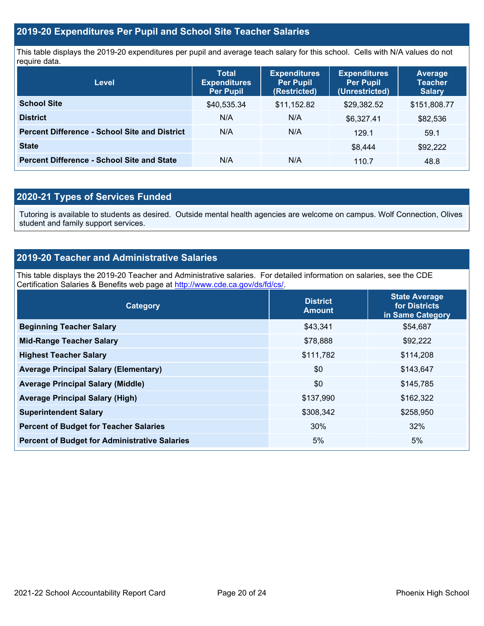### **2019-20 Expenditures Per Pupil and School Site Teacher Salaries**

This table displays the 2019-20 expenditures per pupil and average teach salary for this school. Cells with N/A values do not require data.

| <b>Level</b>                                         | <b>Total</b><br><b>Expenditures</b><br><b>Per Pupil</b> | <b>Expenditures</b><br><b>Per Pupil</b><br>(Restricted) | <b>Expenditures</b><br><b>Per Pupil</b><br>(Unrestricted) | <b>Average</b><br><b>Teacher</b><br><b>Salary</b> |
|------------------------------------------------------|---------------------------------------------------------|---------------------------------------------------------|-----------------------------------------------------------|---------------------------------------------------|
| <b>School Site</b>                                   | \$40,535.34                                             | \$11,152.82                                             | \$29,382.52                                               | \$151,808.77                                      |
| <b>District</b>                                      | N/A                                                     | N/A                                                     | \$6,327.41                                                | \$82,536                                          |
| <b>Percent Difference - School Site and District</b> | N/A                                                     | N/A                                                     | 129.1                                                     | 59.1                                              |
| <b>State</b>                                         |                                                         |                                                         | \$8,444                                                   | \$92,222                                          |
| <b>Percent Difference - School Site and State</b>    | N/A                                                     | N/A                                                     | 110.7                                                     | 48.8                                              |

## **2020-21 Types of Services Funded**

Tutoring is available to students as desired. Outside mental health agencies are welcome on campus. Wolf Connection, Olives student and family support services.

## **2019-20 Teacher and Administrative Salaries**

This table displays the 2019-20 Teacher and Administrative salaries. For detailed information on salaries, see the CDE Certification Salaries & Benefits web page at [http://www.cde.ca.gov/ds/fd/cs/.](http://www.cde.ca.gov/ds/fd/cs/)

| Category                                             | <b>District</b><br><b>Amount</b> | <b>State Average</b><br>for Districts<br>in Same Category |
|------------------------------------------------------|----------------------------------|-----------------------------------------------------------|
| <b>Beginning Teacher Salary</b>                      | \$43,341                         | \$54,687                                                  |
| <b>Mid-Range Teacher Salary</b>                      | \$78,888                         | \$92,222                                                  |
| <b>Highest Teacher Salary</b>                        | \$111,782                        | \$114,208                                                 |
| <b>Average Principal Salary (Elementary)</b>         | \$0                              | \$143,647                                                 |
| <b>Average Principal Salary (Middle)</b>             | \$0                              | \$145,785                                                 |
| <b>Average Principal Salary (High)</b>               | \$137,990                        | \$162,322                                                 |
| <b>Superintendent Salary</b>                         | \$308,342                        | \$258,950                                                 |
| <b>Percent of Budget for Teacher Salaries</b>        | 30%                              | 32%                                                       |
| <b>Percent of Budget for Administrative Salaries</b> | 5%                               | 5%                                                        |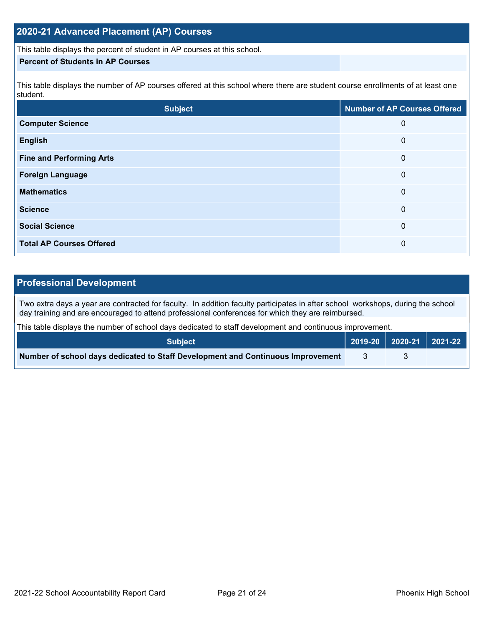## **2020-21 Advanced Placement (AP) Courses**

This table displays the percent of student in AP courses at this school.

#### **Percent of Students in AP Courses**

This table displays the number of AP courses offered at this school where there are student course enrollments of at least one student.

| <b>Subject</b>                  | <b>Number of AP Courses Offered</b> |
|---------------------------------|-------------------------------------|
| <b>Computer Science</b>         | 0                                   |
| <b>English</b>                  | 0                                   |
| <b>Fine and Performing Arts</b> | 0                                   |
| <b>Foreign Language</b>         | 0                                   |
| <b>Mathematics</b>              | 0                                   |
| <b>Science</b>                  | 0                                   |
| <b>Social Science</b>           | $\overline{0}$                      |
| <b>Total AP Courses Offered</b> | 0                                   |

## **Professional Development**

Two extra days a year are contracted for faculty. In addition faculty participates in after school workshops, during the school day training and are encouraged to attend professional conferences for which they are reimbursed.

This table displays the number of school days dedicated to staff development and continuous improvement.

| <b>Subject</b>                                                                  | 2019-20   2020-21   2021-22 |  |
|---------------------------------------------------------------------------------|-----------------------------|--|
| Number of school days dedicated to Staff Development and Continuous Improvement |                             |  |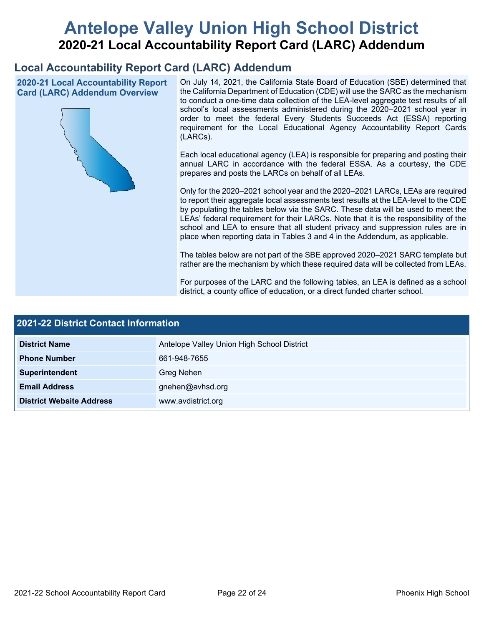# **Antelope Valley Union High School District 2020-21 Local Accountability Report Card (LARC) Addendum**

## **Local Accountability Report Card (LARC) Addendum**

**2020-21 Local Accountability Report Card (LARC) Addendum Overview**



On July 14, 2021, the California State Board of Education (SBE) determined that the California Department of Education (CDE) will use the SARC as the mechanism to conduct a one-time data collection of the LEA-level aggregate test results of all school's local assessments administered during the 2020–2021 school year in order to meet the federal Every Students Succeeds Act (ESSA) reporting requirement for the Local Educational Agency Accountability Report Cards (LARCs).

Each local educational agency (LEA) is responsible for preparing and posting their annual LARC in accordance with the federal ESSA. As a courtesy, the CDE prepares and posts the LARCs on behalf of all LEAs.

Only for the 2020–2021 school year and the 2020–2021 LARCs, LEAs are required to report their aggregate local assessments test results at the LEA-level to the CDE by populating the tables below via the SARC. These data will be used to meet the LEAs' federal requirement for their LARCs. Note that it is the responsibility of the school and LEA to ensure that all student privacy and suppression rules are in place when reporting data in Tables 3 and 4 in the Addendum, as applicable.

The tables below are not part of the SBE approved 2020–2021 SARC template but rather are the mechanism by which these required data will be collected from LEAs.

For purposes of the LARC and the following tables, an LEA is defined as a school district, a county office of education, or a direct funded charter school.

| <b>2021-22 District Contact Information</b> |                                            |  |  |  |  |
|---------------------------------------------|--------------------------------------------|--|--|--|--|
| <b>District Name</b>                        | Antelope Valley Union High School District |  |  |  |  |
| <b>Phone Number</b>                         | 661-948-7655                               |  |  |  |  |
| Superintendent                              | Greg Nehen                                 |  |  |  |  |
| <b>Email Address</b>                        | gnehen@avhsd.org                           |  |  |  |  |
| <b>District Website Address</b>             | www.avdistrict.org                         |  |  |  |  |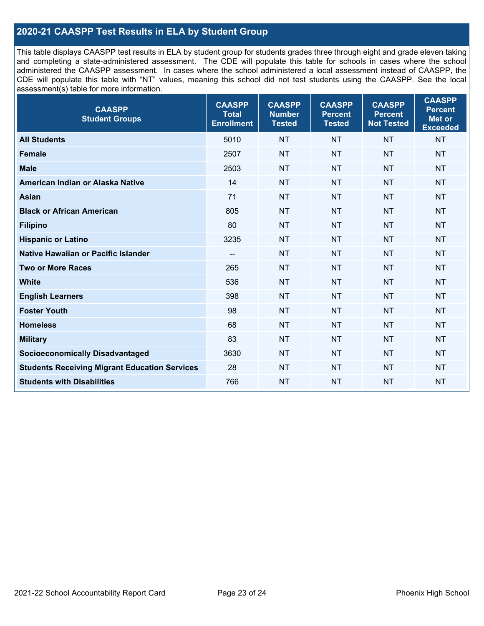## **2020-21 CAASPP Test Results in ELA by Student Group**

This table displays CAASPP test results in ELA by student group for students grades three through eight and grade eleven taking and completing a state-administered assessment. The CDE will populate this table for schools in cases where the school administered the CAASPP assessment. In cases where the school administered a local assessment instead of CAASPP, the CDE will populate this table with "NT" values, meaning this school did not test students using the CAASPP. See the local assessment(s) table for more information.

| <b>CAASPP</b><br><b>Student Groups</b>               | <b>CAASPP</b><br><b>Total</b><br><b>Enrollment</b> | <b>CAASPP</b><br><b>Number</b><br><b>Tested</b> | <b>CAASPP</b><br><b>Percent</b><br><b>Tested</b> | <b>CAASPP</b><br><b>Percent</b><br><b>Not Tested</b> | <b>CAASPP</b><br><b>Percent</b><br>Met or<br><b>Exceeded</b> |
|------------------------------------------------------|----------------------------------------------------|-------------------------------------------------|--------------------------------------------------|------------------------------------------------------|--------------------------------------------------------------|
| <b>All Students</b>                                  | 5010                                               | <b>NT</b>                                       | <b>NT</b>                                        | <b>NT</b>                                            | <b>NT</b>                                                    |
| <b>Female</b>                                        | 2507                                               | <b>NT</b>                                       | <b>NT</b>                                        | <b>NT</b>                                            | <b>NT</b>                                                    |
| <b>Male</b>                                          | 2503                                               | <b>NT</b>                                       | <b>NT</b>                                        | <b>NT</b>                                            | <b>NT</b>                                                    |
| American Indian or Alaska Native                     | 14                                                 | <b>NT</b>                                       | <b>NT</b>                                        | <b>NT</b>                                            | <b>NT</b>                                                    |
| <b>Asian</b>                                         | 71                                                 | <b>NT</b>                                       | <b>NT</b>                                        | <b>NT</b>                                            | <b>NT</b>                                                    |
| <b>Black or African American</b>                     | 805                                                | <b>NT</b>                                       | <b>NT</b>                                        | <b>NT</b>                                            | NT                                                           |
| <b>Filipino</b>                                      | 80                                                 | <b>NT</b>                                       | <b>NT</b>                                        | <b>NT</b>                                            | <b>NT</b>                                                    |
| <b>Hispanic or Latino</b>                            | 3235                                               | <b>NT</b>                                       | <b>NT</b>                                        | <b>NT</b>                                            | <b>NT</b>                                                    |
| <b>Native Hawaiian or Pacific Islander</b>           | --                                                 | <b>NT</b>                                       | <b>NT</b>                                        | <b>NT</b>                                            | <b>NT</b>                                                    |
| <b>Two or More Races</b>                             | 265                                                | <b>NT</b>                                       | <b>NT</b>                                        | <b>NT</b>                                            | <b>NT</b>                                                    |
| <b>White</b>                                         | 536                                                | <b>NT</b>                                       | <b>NT</b>                                        | <b>NT</b>                                            | <b>NT</b>                                                    |
| <b>English Learners</b>                              | 398                                                | <b>NT</b>                                       | <b>NT</b>                                        | <b>NT</b>                                            | <b>NT</b>                                                    |
| <b>Foster Youth</b>                                  | 98                                                 | <b>NT</b>                                       | <b>NT</b>                                        | <b>NT</b>                                            | <b>NT</b>                                                    |
| <b>Homeless</b>                                      | 68                                                 | <b>NT</b>                                       | <b>NT</b>                                        | <b>NT</b>                                            | <b>NT</b>                                                    |
| <b>Military</b>                                      | 83                                                 | <b>NT</b>                                       | <b>NT</b>                                        | <b>NT</b>                                            | <b>NT</b>                                                    |
| <b>Socioeconomically Disadvantaged</b>               | 3630                                               | <b>NT</b>                                       | <b>NT</b>                                        | <b>NT</b>                                            | <b>NT</b>                                                    |
| <b>Students Receiving Migrant Education Services</b> | 28                                                 | <b>NT</b>                                       | <b>NT</b>                                        | <b>NT</b>                                            | NT                                                           |
| <b>Students with Disabilities</b>                    | 766                                                | <b>NT</b>                                       | <b>NT</b>                                        | <b>NT</b>                                            | NT                                                           |